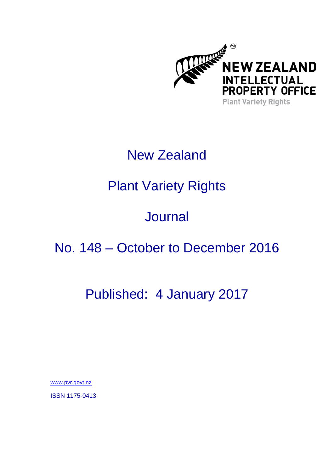

# New Zealand

# Plant Variety Rights

# **Journal**

### No. 148 – October to December 2016

### Published: 4 January 2017

[www.pvr.govt.nz](http://www.pvr.govt.nz/)

ISSN 1175-0413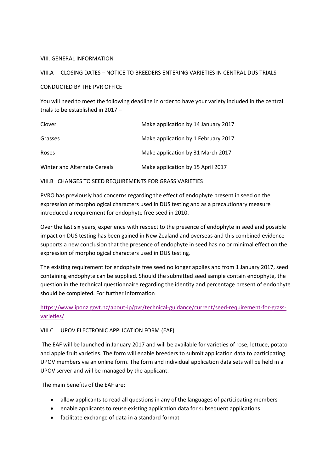#### VIII. GENERAL INFORMATION

#### VIII.A CLOSING DATES – NOTICE TO BREEDERS ENTERING VARIETIES IN CENTRAL DUS TRIALS

#### CONDUCTED BY THE PVR OFFICE

You will need to meet the following deadline in order to have your variety included in the central trials to be established in 2017 –

| Clover                       | Make application by 14 January 2017 |
|------------------------------|-------------------------------------|
| Grasses                      | Make application by 1 February 2017 |
| Roses                        | Make application by 31 March 2017   |
| Winter and Alternate Cereals | Make application by 15 April 2017   |

VIII.B CHANGES TO SEED REQUIREMENTS FOR GRASS VARIETIES

PVRO has previously had concerns regarding the effect of endophyte present in seed on the expression of morphological characters used in DUS testing and as a precautionary measure introduced a requirement for endophyte free seed in 2010.

Over the last six years, experience with respect to the presence of endophyte in seed and possible impact on DUS testing has been gained in New Zealand and overseas and this combined evidence supports a new conclusion that the presence of endophyte in seed has no or minimal effect on the expression of morphological characters used in DUS testing.

The existing requirement for endophyte free seed no longer applies and from 1 January 2017, seed containing endophyte can be supplied. Should the submitted seed sample contain endophyte, the question in the technical questionnaire regarding the identity and percentage present of endophyte should be completed. For further information

### [https://www.iponz.govt.nz/about-ip/pvr/technical-guidance/current/seed-requirement-for-grass](https://www.iponz.govt.nz/about-ip/pvr/technical-guidance/current/seed-requirement-for-grass-varieties/)[varieties/](https://www.iponz.govt.nz/about-ip/pvr/technical-guidance/current/seed-requirement-for-grass-varieties/)

#### VIII.C UPOV ELECTRONIC APPLICATION FORM (EAF)

The EAF will be launched in January 2017 and will be available for varieties of rose, lettuce, potato and apple fruit varieties. The form will enable breeders to submit application data to participating UPOV members via an online form. The form and individual application data sets will be held in a UPOV server and will be managed by the applicant.

The main benefits of the EAF are:

- allow applicants to read all questions in any of the languages of participating members
- enable applicants to reuse existing application data for subsequent applications
- facilitate exchange of data in a standard format